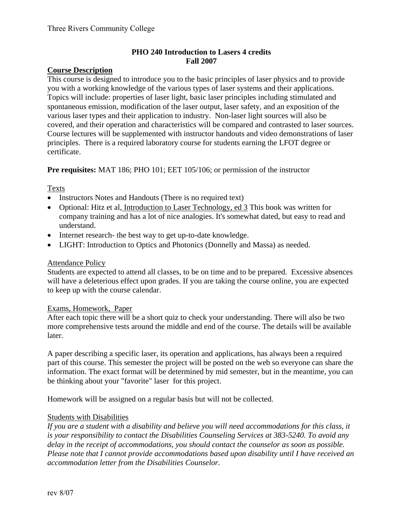## **PHO 240 Introduction to Lasers 4 credits Fall 2007**

### **Course Description**

This course is designed to introduce you to the basic principles of laser physics and to provide you with a working knowledge of the various types of laser systems and their applications. Topics will include: properties of laser light, basic laser principles including stimulated and spontaneous emission, modification of the laser output, laser safety, and an exposition of the various laser types and their application to industry. Non-laser light sources will also be covered, and their operation and characteristics will be compared and contrasted to laser sources. Course lectures will be supplemented with instructor handouts and video demonstrations of laser principles. There is a required laboratory course for students earning the LFOT degree or certificate.

**Pre requisites:** MAT 186; PHO 101; EET 105/106; or permission of the instructor

### Texts

- Instructors Notes and Handouts (There is no required text)
- Optional: Hitz et al, Introduction to Laser Technology, ed 3 This book was written for company training and has a lot of nice analogies. It's somewhat dated, but easy to read and understand.
- Internet research- the best way to get up-to-date knowledge.
- LIGHT: Introduction to Optics and Photonics (Donnelly and Massa) as needed.

#### Attendance Policy

Students are expected to attend all classes, to be on time and to be prepared. Excessive absences will have a deleterious effect upon grades. If you are taking the course online, you are expected to keep up with the course calendar.

#### Exams, Homework, Paper

After each topic there will be a short quiz to check your understanding. There will also be two more comprehensive tests around the middle and end of the course. The details will be available later.

A paper describing a specific laser, its operation and applications, has always been a required part of this course. This semester the project will be posted on the web so everyone can share the information. The exact format will be determined by mid semester, but in the meantime, you can be thinking about your "favorite" laser for this project.

Homework will be assigned on a regular basis but will not be collected.

#### Students with Disabilities

*If you are a student with a disability and believe you will need accommodations for this class, it is your responsibility to contact the Disabilities Counseling Services at 383-5240. To avoid any delay in the receipt of accommodations, you should contact the counselor as soon as possible. Please note that I cannot provide accommodations based upon disability until I have received an accommodation letter from the Disabilities Counselor.*